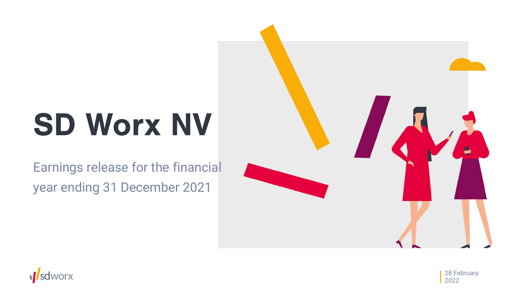# **SD Worx NV**

Earnings release for the financial year ending 31 December 2021





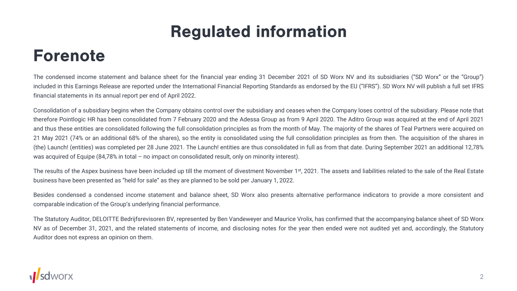# **Regulated information**

# **Forenote**

The condensed income statement and balance sheet for the financial year ending 31 December 2021 of SD Worx NV and its subsidiaries ("SD Worx" or the "Group") included in this Earnings Release are reported under the International Financial Reporting Standards as endorsed by the EU ("IFRS"). SD Worx NV will publish a full set IFRS financial statements in its annual report per end of April 2022.

Consolidation of a subsidiary begins when the Company obtains control over the subsidiary and ceases when the Company loses control of the subsidiary. Please note that therefore Pointlogic HR has been consolidated from 7 February 2020 and the Adessa Group as from 9 April 2020. The Aditro Group was acquired at the end of April 2021 and thus these entities are consolidated following the full consolidation principles as from the month of May. The majority of the shares of Teal Partners were acquired on 21 May 2021 (74% or an additional 68% of the shares), so the entity is consolidated using the full consolidation principles as from then. The acquisition of the shares in (the) Launch! (entities) was completed per 28 June 2021. The Launch! entities are thus consolidated in full as from that date. During September 2021 an additional 12,78% was acquired of Equipe (84,78% in total – no impact on consolidated result, only on minority interest).

The results of the Aspex business have been included up till the moment of divestment November 1st, 2021. The assets and liabilities related to the sale of the Real Estate business have been presented as "held for sale" as they are planned to be sold per January 1, 2022.

Besides condensed a condensed income statement and balance sheet, SD Worx also presents alternative performance indicators to provide a more consistent and comparable indication of the Group's underlying financial performance.

The Statutory Auditor, DELOITTE Bedrijfsrevisoren BV, represented by Ben Vandeweyer and Maurice Vrolix, has confirmed that the accompanying balance sheet of SD Worx NV as of December 31, 2021, and the related statements of income, and disclosing notes for the year then ended were not audited yet and, accordingly, the Statutory Auditor does not express an opinion on them.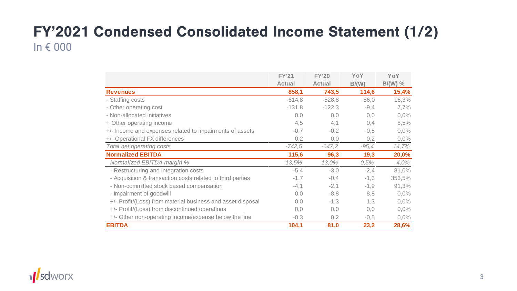### FY'2021 Condensed Consolidated Income Statement (1/2) In € 000

|                                                             | <b>FY'21</b>  | <b>FY'20</b>  | YoY     | YoY       |
|-------------------------------------------------------------|---------------|---------------|---------|-----------|
|                                                             | <b>Actual</b> | <b>Actual</b> | B/(W)   | $B/(W)$ % |
| <b>Revenues</b>                                             | 858,1         | 743,5         | 114,6   | 15,4%     |
| - Staffing costs                                            | $-614,8$      | $-528,8$      | $-86,0$ | 16,3%     |
| - Other operating cost                                      | $-131,8$      | $-122,3$      | $-9,4$  | 7,7%      |
| - Non-allocated initiatives                                 | 0,0           | 0,0           | 0, 0    | 0,0%      |
| + Other operating income                                    | 4,5           | 4,1           | 0,4     | 8,5%      |
| +/- Income and expenses related to impairments of assets    | $-0,7$        | $-0,2$        | $-0,5$  | $0,0\%$   |
| +/- Operational FX differences                              | 0,2           | 0,0           | 0,2     | $0,0\%$   |
| Total net operating costs                                   | $-742,5$      | $-647,2$      | $-95,4$ | 14,7%     |
| <b>Normalized EBITDA</b>                                    | 115,6         | 96,3          | 19,3    | 20,0%     |
| Normalized EBITDA margin %                                  | 13,5%         | 13,0%         | 0,5%    | 4,0%      |
| - Restructuring and integration costs                       | $-5,4$        | $-3,0$        | $-2,4$  | 81,0%     |
| - Acquisition & transaction costs related to third parties  | $-1,7$        | $-0,4$        | $-1,3$  | 353,5%    |
| - Non-committed stock based compensation                    | $-4,1$        | $-2,1$        | $-1,9$  | 91,3%     |
| - Impairment of goodwill                                    | 0,0           | $-8,8$        | 8,8     | $0,0\%$   |
| +/- Profit/(Loss) from material business and asset disposal | 0,0           | $-1,3$        | 1,3     | $0,0\%$   |
| +/- Profit/(Loss) from discontinued operations              | 0,0           | 0,0           | 0,0     | $0,0\%$   |
| +/- Other non-operating income/expense below the line       | $-0,3$        | 0,2           | $-0,5$  | $0,0\%$   |
| <b>EBITDA</b>                                               | 104,1         | 81,0          | 23,2    | 28,6%     |

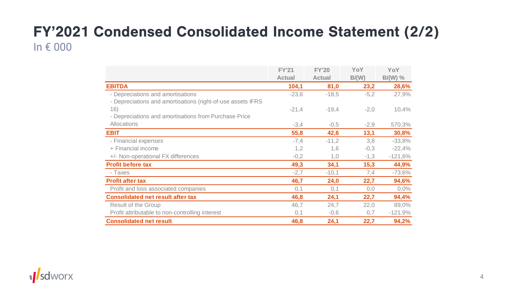### FY'2021 Condensed Consolidated Income Statement (2/2) In € 000

|                                                             | <b>FY'21</b><br><b>Actual</b> | <b>FY'20</b><br><b>Actual</b> | YoY<br>B/(W) | YoY<br>$B/(W)$ % |
|-------------------------------------------------------------|-------------------------------|-------------------------------|--------------|------------------|
| <b>EBITDA</b>                                               | 104,1                         | 81,0                          | 23,2         | 28,6%            |
| - Depreciations and amortisations                           | $-23,6$                       | $-18,5$                       | $-5,2$       | 27,9%            |
| - Depreciations and amortisations (right-of-use assets IFRS |                               |                               |              |                  |
| 16)                                                         | $-21,4$                       | $-19,4$                       | $-2,0$       | 10,4%            |
| - Depreciations and amortisations from Purchase Price       |                               |                               |              |                  |
| <b>Allocations</b>                                          | $-3,4$                        | $-0,5$                        | $-2,9$       | 570,3%           |
| <b>EBIT</b>                                                 | 55,8                          | 42,6                          | 13,1         | 30,8%            |
| - Financial expenses                                        | $-7,4$                        | $-11,2$                       | 3,8          | $-33,8%$         |
| + Financial income                                          | 1,2                           | 1,6                           | $-0,3$       | $-22,4%$         |
| +/- Non-operational FX differences                          | $-0,2$                        | 1,0                           | $-1,3$       | $-121,6%$        |
| <b>Profit before tax</b>                                    | 49,3                          | 34,1                          | 15,3         | 44,9%            |
| - Taxes                                                     | $-2,7$                        | $-10,1$                       | 7,4          | $-73,6%$         |
| <b>Profit after tax</b>                                     | 46,7                          | 24,0                          | 22,7         | 94,6%            |
| Profit and loss associated companies                        | 0,1                           | 0,1                           | 0,0          | $0,0\%$          |
| <b>Consolidated net result after tax</b>                    | 46,8                          | 24,1                          | 22,7         | 94,4%            |
| Result of the Group                                         | 46,7                          | 24,7                          | 22,0         | 89,0%            |
| Profit attributable to non-controlling interest             | 0,1                           | $-0,6$                        | 0,7          | $-121,9%$        |
| <b>Consolidated net result</b>                              | 46,8                          | 24,1                          | 22,7         | 94,2%            |

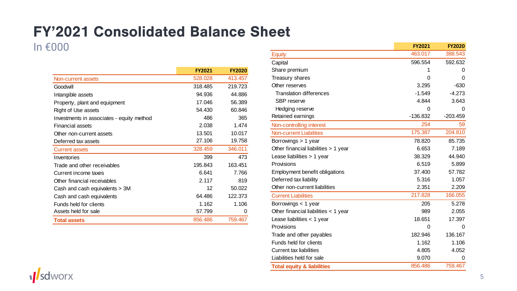# **FY'2021 Consolidated Balance Sheet**

### In €000

|                                           | <b>FY2021</b> | <b>FY2020</b> |
|-------------------------------------------|---------------|---------------|
| Non-current assets                        | 528.028       | 413.457       |
| Goodwill                                  | 318.485       | 219.723       |
| Intangible assets                         | 94.936        | 44.886        |
| Property, plant and equipment             | 17.046        | 56.389        |
| Right of Use assets                       | 54.430        | 60.846        |
| Investments in associates - equity method | 486           | 365           |
| <b>Financial assets</b>                   | 2.038         | 1.474         |
| Other non-current assets                  | 13.501        | 10.017        |
| Deferred tax assets                       | 27.106        | 19.758        |
| <b>Current assets</b>                     | 328.459       | 346.011       |
| Inventories                               | 399           | 473           |
| Trade and other receivables               | 195.843       | 163.451       |
| Current income taxes                      | 6.641         | 7.766         |
| Other financial receivables               | 2.117         | 819           |
| Cash and cash equivalents > 3M            | 12            | 50.022        |
| Cash and cash equivalents                 | 64.486        | 122.373       |
| Funds held for clients                    | 1.162         | 1.106         |
| Assets held for sale                      | 57.799        | 0             |
| <b>Total assets</b>                       | 856.486       | 759.467       |

|                                       | <b>FY2021</b> | <b>FY2020</b> |
|---------------------------------------|---------------|---------------|
| <b>Equity</b>                         | 463.017       | 388.543       |
| Capital                               | 596.554       | 592.632       |
| Share premium                         | 1             | 0             |
| <b>Treasury shares</b>                | 0             | 0             |
| Other reserves                        | 3.295         | $-630$        |
| <b>Translation differences</b>        | $-1.549$      | $-4.273$      |
| SBP reserve                           | 4.844         | 3.643         |
| Hedging reserve                       | 0             | 0             |
| Retained earnings                     | -136.832      | $-203.459$    |
| Non-controlling interest              | 254           | 59            |
| <b>Non-current Liabilities</b>        | 175.387       | 204.810       |
| Borrowings > 1 year                   | 78.820        | 85.735        |
| Other financial liabilities > 1 year  | 6.653         | 7.189         |
| Lease liabilities $> 1$ year          | 38.329        | 44.940        |
| Provisions                            | 6.519         | 5.899         |
| Employment benefit obligations        | 37.400        | 57.782        |
| Deferred tax liability                | 5.316         | 1.057         |
| Other non-current liabilities         | 2.351         | 2.209         |
| <b>Current Liabilities</b>            | 217.828       | 166.055       |
| Borrowings < 1 year                   | 205           | 5.278         |
| Other financial liabilities < 1 year  | 989           | 2.055         |
| Lease liabilities $<$ 1 year          | 18.651        | 17.397        |
| Provisions                            | 0             | 0             |
| Trade and other payables              | 182.946       | 136.167       |
| Funds held for clients                | 1.162         | 1.106         |
| <b>Current tax liabilities</b>        | 4.805         | 4.052         |
| Liabilities held for sale             | 9.070         | 0             |
| <b>Total equity &amp; liabilities</b> | 856.486       | 759.467       |
|                                       |               |               |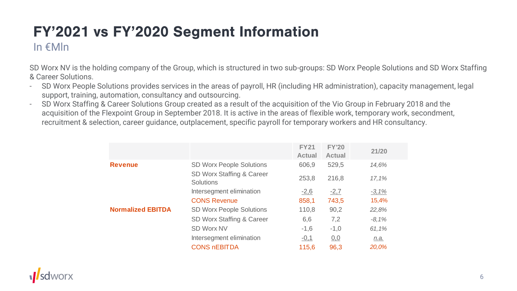# FY'2021 vs FY'2020 Segment Information

### In €Mln

SD Worx NV is the holding company of the Group, which is structured in two sub-groups: SD Worx People Solutions and SD Worx Staffing & Career Solutions.

- SD Worx People Solutions provides services in the areas of payroll, HR (including HR administration), capacity management, legal support, training, automation, consultancy and outsourcing.
- SD Worx Staffing & Career Solutions Group created as a result of the acquisition of the Vio Group in February 2018 and the acquisition of the Flexpoint Group in September 2018. It is active in the areas of flexible work, temporary work, secondment, recruitment & selection, career guidance, outplacement, specific payroll for temporary workers and HR consultancy.

|                          |                                               | <b>FY21</b><br><b>Actual</b> | <b>FY'20</b><br><b>Actual</b> | 21/20    |
|--------------------------|-----------------------------------------------|------------------------------|-------------------------------|----------|
| <b>Revenue</b>           | <b>SD Worx People Solutions</b>               | 606.9                        | 529,5                         | 14,6%    |
|                          | SD Worx Staffing & Career<br><b>Solutions</b> | 253,8                        | 216,8                         | 17,1%    |
|                          | Intersegment elimination                      | $-2,6$                       | $-2,7$                        | $-3,1\%$ |
|                          | <b>CONS Revenue</b>                           | 858,1                        | 743,5                         | 15,4%    |
| <b>Normalized EBITDA</b> | <b>SD Worx People Solutions</b>               | 110,8                        | 90,2                          | 22,8%    |
|                          | SD Worx Staffing & Career                     | 6,6                          | 7,2                           | $-8,1%$  |
|                          | <b>SD Worx NV</b>                             | $-1,6$                       | $-1,0$                        | 61,1%    |
|                          | Intersegment elimination                      | $-0,1$                       | 0,0                           | n.a.     |
|                          | <b>CONS REBITDA</b>                           | 115,6                        | 96,3                          | 20,0%    |

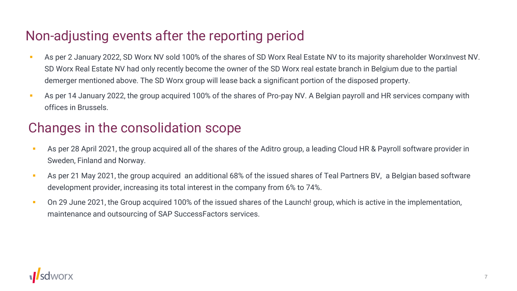### Non-adjusting events after the reporting period

- **EXTERN 2022, SD WORX NV sold 100% of the shares of SD Worx Real Estate NV to its majority shareholder WorxInvest NV.** SD Worx Real Estate NV had only recently become the owner of the SD Worx real estate branch in Belgium due to the partial demerger mentioned above. The SD Worx group will lease back a significant portion of the disposed property.
- **EXTED 14 January 2022, the group acquired 100% of the shares of Pro-pay NV. A Belgian payroll and HR services company with** offices in Brussels.

### Changes in the consolidation scope

- **EXTE:** As per 28 April 2021, the group acquired all of the shares of the Aditro group, a leading Cloud HR & Payroll software provider in Sweden, Finland and Norway.
- As per 21 May 2021, the group acquired an additional 68% of the issued shares of Teal Partners BV, a Belgian based software development provider, increasing its total interest in the company from 6% to 74%.
- On 29 June 2021, the Group acquired 100% of the issued shares of the Launch! group, which is active in the implementation, maintenance and outsourcing of SAP SuccessFactors services.

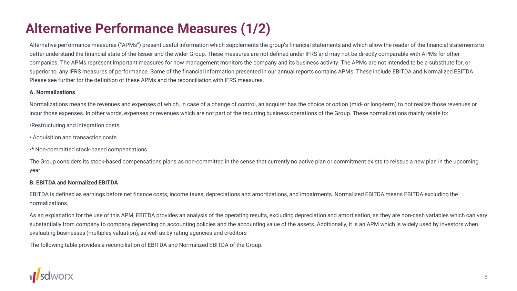## **Alternative Performance Measures (1/2)**

Alternative performance measures ("APMs") present useful information which supplements the group's financial statements and which allow the reader of the financial statements to better understand the financial state of the Issuer and the wider Group. These measures are not defined under IFRS and may not be directly comparable with APMs for other companies. The APMs represent important measures for how management monitors the company and its business activity. The APMs are not intended to be a substitute for, or superior to, any IFRS measures of performance. Some of the financial information presented in our annual reports contains APMs. These include EBITDA and Normalized EBITDA. Please see further for the definition of these APMs and the reconciliation with IFRS measures.

#### **A. Normalizations**

Normalizations means the revenues and expenses of which, in case of a change of control, an acquirer has the choice or option (mid- or long-term) to not realize those revenues or incur those expenses. In other words, expenses or revenues which are not part of the recurring business operations of the Group. These normalizations mainly relate to:

•Restructuring and integration costs

- Acquisition and transaction costs
- •\* Non-committed stock-based compensations

The Group considers its stock-based compensations plans as non-committed in the sense that currently no active plan or commitment exists to reissue a new plan in the upcoming year.

#### **B. EBITDA and Normalized EBITDA**

EBITDA is defined as earnings before net finance costs, income taxes, depreciations and amortizations, and impairments. Normalized EBITDA means EBITDA excluding the normalizations.

As an explanation for the use of this APM, EBITDA provides an analysis of the operating results, excluding depreciation and amortisation, as they are non-cash variables which can vary substantially from company to company depending on accounting policies and the accounting value of the assets. Additionally, it is an APM which is widely used by investors when evaluating businesses (multiples valuation), as well as by rating agencies and creditors

The following table provides a reconciliation of EBITDA and Normalized EBITDA of the Group.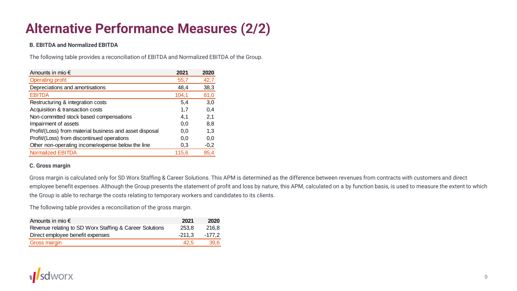# **Alternative Performance Measures (2/2)**

#### **B. EBITDA and Normalized EBITDA**

The following table provides a reconciliation of EBITDA and Normalized EBITDA of the Group.

| Amounts in mio $\epsilon$                               | 2021  | 2020   |
|---------------------------------------------------------|-------|--------|
| <b>Operating profit</b>                                 | 55,7  | 42,7   |
| Depreciations and amortisations                         | 48,4  | 38,3   |
| <b>EBITDA</b>                                           | 104,1 | 81,0   |
| Restructuring & integration costs                       | 5,4   | 3,0    |
| Acquisition & transaction costs                         | 1,7   | 0,4    |
| Non-committed stock based compensations                 | 4.1   | 2,1    |
| Impairment of assets                                    | 0.0   | 8,8    |
| Profit/(Loss) from material business and asset disposal | 0,0   | 1,3    |
| Profit/(Loss) from discontinued operations              | 0.0   | 0,0    |
| Other non-operating income/expense below the line       | 0,3   | $-0,2$ |
| <b>Normalized EBITDA</b>                                | 115,6 | 95,4   |

#### **C. Gross margin**

Gross margin is calculated only for SD Worx Staffing & Career Solutions. This APM is determined as the difference between revenues from contracts with customers and direct employee benefit expenses. Although the Group presents the statement of profit and loss by nature, this APM, calculated on a by function basis, is used to measure the extent to which the Group is able to recharge the costs relating to temporary workers and candidates to its clients.

The following table provides a reconciliation of the gross margin.

| Amounts in mio $\epsilon$                               | 2021     | 2020     |
|---------------------------------------------------------|----------|----------|
| Revenue relating to SD Worx Staffing & Career Solutions | 253.8    | 216.8    |
| Direct employee benefit expenses                        | $-211.3$ | $-177.2$ |
| Gross margin                                            | 42.5     | 39.6     |

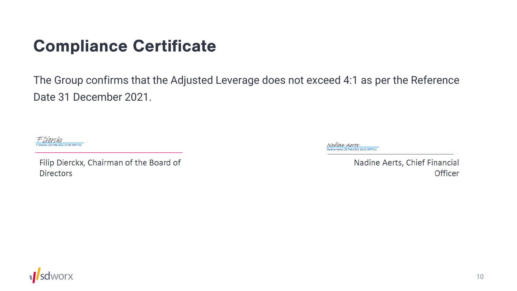# **Compliance Certificate**

The Group confirms that the Adjusted Leverage does not exceed 4:1 as per the Reference Date 31 December 2021.

F Dierckx b 2022 17:45 GMT+1)

Filip Dierckx, Chairman of the Board of **Directors** 

Nadino Aorts dine Aerts (25 Feb 2022 14:11 GMT+1)

> Nadine Aerts, Chief Financial **Officer**

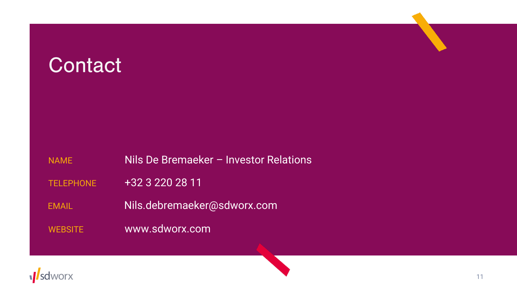| Contact                          |                                                |
|----------------------------------|------------------------------------------------|
| <b>NAME</b>                      | Nils De Bremaeker - Investor Relations         |
| <b>TELEPHONE</b><br><b>EMAIL</b> | +32 3 220 28 11<br>Nils.debremaeker@sdworx.com |
| <b>WEBSITE</b>                   | www.sdworx.com                                 |